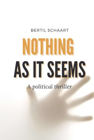## BERTIL SCHAART

## NOTHING AS IT SEEMS

A political thriller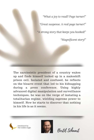"What a joy to read!! Page turner!" "Great suspense. A real page turner!" "A strong story that keeps you hooked!"

"Magnificent story!"

The narcissistic president of a country wakes up and finds himself locked up in a makeshift prison cell. Isolated and confused, he reflects on the bizarre event that led to his kidnapping during a press conference. Using highly advanced digital manipulation and surveillance techniques, he was on the verge of instating a totalitarian regime, wielding supreme power to himself. Now he starts to discover that nothing in his life is as it seems.

Distributed by he Golden Eagle



Bertil Schaart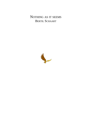NOTHING AS IT SEEMS BERTIL SCHAART

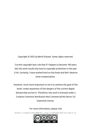Copyright © 2022 by Bertil Schaart. Some rights reserved.

Current copyright laws rule that if I happen to become 100 years old, this work would only lose its copyright protection in the year 2145. Certainly, I have worked hard on this book and feel I deserve some compensation.

However, much more important to me is to achieve the goal of this book: create awareness of the dangers of the current digital dictatorship we live in. Therefore, this work is licensed under a Creative Commons Attribution-Non Commercial-No Derivs 3.0 Unported License.

For more information, please visit http://creativecommons.org/licenses/by-nc-nd/3.0.

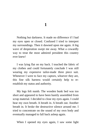1

Nothing but darkness. It made no difference if I had my eyes open or closed. Confused I tried to interpret my surroundings. Then it dawned upon me again. A big wave of desperation swept me away. What a cowardly way to treat the most admired president this country ever knew!

I was lying flat on my back. I touched the fabric of my clothes and could fortunately conclude I was still wearing my expensive tailor-made three piece suit. Whenever I were to face my captors, whoever they are, this fine silk harness would certainly help to reestablish my status and authority.

My legs felt numb. The wooden bunk bed was too short and appeared to have been hastily assembled from scrap material. I decided to close my eyes again. I could hear my own breath. A breath in. A breath out. Another breath in. It broke the destructive silence around me. I tried to concentrate on the sound of my own body and eventually managed to fall back asleep again.

When I opened my eyes again, I saw some light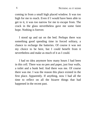coming in from a small high placed window. It was too high for me to reach. Even if I would have been able to get to it, it was too narrow for me to escape from. The crack in the glass nevertheless gave me some faint hope. Nothing is forever.

I stood up and sat on the bed. Perhaps there was something good spending time in forced solitary, a chance to recharge the batteries. Of course it was not my choice to be here, but I could benefit from it nevertheless and make as much of it as I could.

I had no idea anymore how many hours I had been in this cell. There was no pen and paper, just four walls, a toilet and a bunk bed. And there was me. Of course there was me. I was the reason this place existed in the first place. Apparently. If anything, now I had all the time to reflect on all the bizarre things that had happened in the recent past.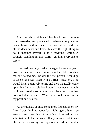Elisa quickly straightened her black dress, the one from yesterday, and proceeded to rehearse the powerful catch phrases with me again. I felt confident. I had read all the documents and knew this was the right thing to do. I imagined myself to be a towering lighthouse, strongly standing in this storm, guiding everyone to safety.

Elisa had been my media manager for several years now, but she was much more than that. She coached me, she trained me. She was the first person I would go to whenever I was faced with a difficult situation. Elisa would listen attentively to me and then magically come up with a fantastic solution I would have never thought of. It was usually so cunning and clever as if she had prepared it in advance. What more could someone in my position wish for?

As she quickly applied some more foundation on my face, I was thinking about last night again. It was so sensual and exciting. Alternating domination and submission. It had aroused all my senses. But it was also very exhausting and apparently had left visible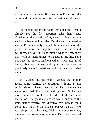marks around my eyes. But thanks to Elisa, both the cause and the solution of this, the nation would never notice.

The door to the media room was open and I could already see the first reporters take their seats. Considering the severity of my speech, this could very well have been the lion's den. But there was no need to worry. Elisa had only invited those members of the press who were 'our acquired friends', as she would call them. I never fully understood what she meant by that. With so many things to manage in my life, I did not have the time to find out either. I was assured of being able to deliver well prepared answers to previously agreed questions and that was all what mattered.

As I walked into the room, I greeted the familiar faces. Some returned the greetings with me a faint smile. Almost all seats were taken. The camera crew were doing their final sound and light test. Still a few more minutes before the live broadcast to the people of the nation. The press conference would announce the immediately effective new directive. We knew it would come as a shock to the citizens, but we had to. There was simply no other way. Well, more precisely put, there was no other way anymore. Exactly as we had planned.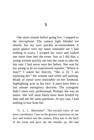One more minute before going live. I stepped to the microphone. The camera light blinded me shortly, but my eyes quickly accommodated. A quick glance over my notes reminded me I had nothing to worry. I scraped my voice and looked one more time into the room. Just as I did that, a young woman quickly ran into the room to take the last seat. I had never seen her before. She was far too young to be an experienced reporter. "Where is Jane?" I asked her directly. "She is ill, I am replacing her." the woman said while still panting. Beads of sweat were noticeable on her forehead, highlighting acne in her face. It must have been a last minute emergency decision. The youngster didn't seem very professional. Perhaps she was an intern. She will most likely have been briefed by Jane and ask the same questions. At any case, I had nothing to fear from her.

"3.. 2.. 1.. Showtime!". The excited voice of our press coordinator. I put on the gravest expression on my face and looked into the camera. Elisa was in the back of the room and gave me the thumbs up. We had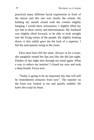practiced many different facial expressions in front of the mirror and this one was clearly the winner. By holding my mouth closed with the corners slightly hanging, I would show seriousness. I slightly lifted my eye lids to show clarity and determination. My forehead was slightly tilted forward, to be able to look straight into the living rooms of the people. By slightly looking down, it also subtly gave me the look of a superior. I felt the anticipation rising in the room.

Elisa must have felt the same. Always in for a tease, she naughtily touted her lips just like she did last night. Flashes of last night shot through my mind again. What a way to reduce my tension! I closed my eyes and took a deep breath. Focus now.

"Today is going to be an important day that will still be remembered centuries from now". The reporter on the front row looked at me and quietly nodded. He knew the script by heart.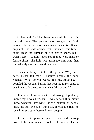A plate with food had been delivered via a latch in my cell door. The person who brought my food, whoever he or she was, never made any noise. It was only until the slide opened that I noticed. This time I could grasp the glimpse of two brown shoes, but I wasn't sure. I couldn't even see if they were male or female shoes. The light was again too dim. And then immediately the latch was shut again.

I desperately try to talk to the person. "Why am I here? Please tell me!" I shouted against the door. Silence. "What do you want? Tell me. Anything." I pounded the wooden barrier that kept me imprisoned. It was in vain. "At least tell me what I did wrong!?"

Of course, I knew what I did wrong. I perfectly knew why I was here. But I was certain they didn't know, whoever they were. Only a handful of people knew the full extent of our plan. It was too risky to reveal my secret to these unknown people.

On the white porcelain plate I found a deep soup bowl of the same make. It looked like one we had at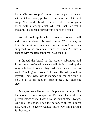home. Chicken soup. Or more correctly put, hot water with chicken flavor, probably from a sachet of instant soup. Next to the bowl I found a roll of wholegrain bread with a crispy crust. At least, that is what I thought. This piece of bread was a hard as a brick.

An old red apple which already showed small wrinkles completed this meal course. What a way to treat the most important man in the nation! Was this supposed to be breakfast, lunch or dinner? Quite a change with the rich banquets I was used to.

I dipped the bread in the watery substance and fortunately it softened its steel shell. As it soaked up the salty solution, I noticed they had given me a spoon as well. "Such good hosts..." I cynically whispered to myself. There were words stamped in the backside. I held it up to the light in order to read it. "Stainless steel".

My eyes were fixated on this piece of cutlery. Like the spoon, I was also spotless. The team had crafted a perfect image of me. I was also the man of steel. Tough. And like the spoon, I fed the nation. With the biggest lies. And they eagerly wanted more. My mind drifted further away.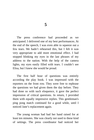The press conference had proceeded as we anticipated. I delivered one of my best performances. At the end of the speech, I was even able to squeeze out a few tears. We hadn't rehearsed this, but I felt it was very appropriate to add more emotional effect. I had stopped blinking my eyes in the last phrases of my address to the nation. With the help of the camera lights, my eyes easily filled with tears. I couldn't see Elisa, but I knew she would be proud.

The first half hour of questions was entirely according the play book. I was impressed with the reporters on the front row. They were free to rephrase the questions we had given them the day before. They had done so with such eloquence, it gave the perfect impression of critical questions. In return, I provided them with equally impressive replies. This gentleman's ping pong match continued for a good while, until I noticed Jane's replacement again.

The young woman had had her hand raised for at least ten minutes. She was clearly not used to these kind of settings. The press coordinator had noticed her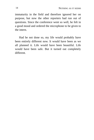immaturity in the field and therefore ignored her on purpose, but now the other reporters had run out of questions. Since the conference went so well, he felt in a good mood and ordered the microphone to be given to the intern.

Had he not done so, my life would probably have been entirely different now. It would have been as we all planned it. Life would have been beautiful. Life would have been safe. But it turned out completely different.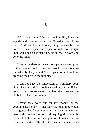"What to do now?" In my previous life, I had an agenda and a team around me. Together, we did so much. And now, I cannot do anything. Four walls. I do not even have a pen and paper to write my thought upon. All I can do is stand up, sit down, lie down and go to the toilet.

I tried to understand what those people were up to. If they wanted to kill me they would have done so immediately. They wouldn't have gone to the trouble of dragging me here in the first place.

It did not have the impression of a military coup either. They would for sure have used me, or my lifeless body, to demonstrate a new ruler has taken over and the old beloved leader is no more.

Perhaps they were out for my money, or the governments money. If that were the case, they would have gotten that for sure by now. Our security agencies were well prepared for such kidnapping situations. In the week following my inauguration, I was invited to their headquarters. The director, a man in his sixties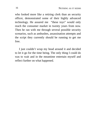who looked more like a retiring clerk than an security officer, demonstrated some of their highly advanced technology. He assured me "these toys" would only reach the consumer market in twenty years from now. Then he ran with me through several possible security scenarios, such as ambushes, assassination attempts and the script they currently should be running to get me free.

I just couldn't wrap my head around it and decided to let it go for the time being. The only thing I could do was to wait and in the meantime entertain myself and reflect further on what happened.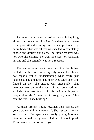Just one simple question. Asked in a soft inquiring almost innocent tone of voice. But these words were lethal projectiles shot in my direction and perforated my entire body. That was all that was needed to completely expose and destroy our plans. The junior reporter was not who she claimed she was. She was not replacing anyone and she certainly was not a reporter.

The entire room went quiet, as if a bomb had exploded in the room and everybody was still in shock, not capable yet of understanding what really just happened. The attendees had their eyes wide open and fixated on me. The silence was unbearable. That unknown woman in the back of the room had just exploded the very fabric of this nation with just a couple of words. A shiver went through my spine. This can't be true. Is she bluffing?

As those present slowly regained their senses, the young woman did not move at all. She just sat there and kept staring. Her eyes were deeply prying into me, piercing through every layer of deceit. I was trapped. There was nowhere for me to go.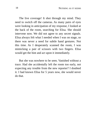The live coverage! It shot through my mind. They need to switch off the cameras. As many pairs of eyes were looking in anticipation of my response, I looked at the back of the room, searching for Elisa. She should intervene now. We did not agree to any secret signals. Elisa always felt what I needed when I was on stage, so there was never a need for subtle hand gestures. Not this time. As I desperately scanned the room, I was mimicking a pair of scissors with two fingers. Elisa would get the hint and act upon it immediately.

But she was nowhere to be seen. Vanished without a trace. Had she accidentally left the room too early, not expecting any trouble from the new reporter? I doubted it. I had known Elisa for 5 years now, she would never do that.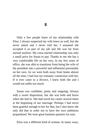Only a few people knew of my relationship with Elisa. I always suspected my wife knew as well, but she never asked and I never told her. I assumed she accepted it as part of my job and life was far from normal anyhow. My extra marital relationship was only a small price for Susan to pay. Thanks to me she has a very comfortable life on her own. In my few years of office, she was able to transform from being the wife of the president into a powerful and influential personality on her own. As we were both away from home almost all the time, I had lost my romantic connection with her. If it ever came to a divorce, I knew both she and I would not suffer too much.

Susan was confident, pretty and outgoing. Always with a sweet disposition, but she was bold and brave when she had to. She had saved my career several times at the beginning of our marriage. Perhaps I had never been grateful enough to her for that, but I also knew she only did that in order not to have her own ambitions jeopardized. We were great business partners for sure.

Elisa was a different kind of woman. In many ways,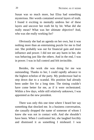Susan was so much more, but Elisa had something mysterious. Her words contained several layers of truth. I found it exciting to mentally undress her of these layers and uncover her truth bit by bit. What did she really mean? What was her ultimate objective? And, who was she really working for?

Obviously she had an agenda on her own, but it was nothing more than an entertaining puzzle for me to find out. She probably was out for financial gain and more influence and power. I did not see any harm in her, she was behaving just like the others. And in the end, I was in power. I was in full control and felt invincible.

Besides, the work she was doing for me was outstanding. Thanks to her, I could rapidly advance to the highest echelon of the party. My predecessor had to step down due to a scandal. His position had already been under fire for a long time. The timing couldn't have come better for me, as if it were orchestrated. Within a few days, while still relatively unknown, I was appointed as the new president.

There was only this one time where I heard her say something that shocked me. In a business conversation, she casually dropped the name of someone of whom I knew she was not in contact with. And she shouldn't have been. When I confronted her, she laughed forcibly and dismissed it as something I misheard. I was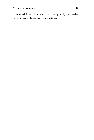convinced I heard it well, but we quickly proceeded with our usual business conversations.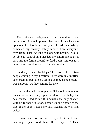The silence heightened my emotions and desperation. It was important that they did not lock me up alone for too long. For years I had successfully combated my anxiety, safely hidden from everyone, even from Susan. As long as I was with people, I would be able to control it. I needed my environment as it gave me the fertile ground to feed upon. Without it, I would soon crumble and fall into depression.

Suddenly I heard footsteps. There were at least two people coming in my direction. There were in a muffled conversation, but stopped talking as they came closer. I was nervous. Are they coming for me?

I sat on the bed contemplating if I should attempt an escape as soon as they open the door. It probably the best chance I had so far. It is actually the only chance. Without further hesitation, I stood up and tiptoed to the side of the door. I stood my back against the wall and waited.

It was quiet. Where were they? I did not hear anything. I just stood there. Have they left? Then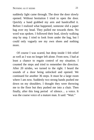suddenly light came through. The door the door slowly opened. Without hesitation I tried to open the door. Quickly a hand grabbed my arm and handcuffed it. Before I realized what happened, someone slid a paper bag over my head. They pulled me towards them. No word was spoken. I followed their lead, slowly walking step by step. I tried to look from under the bag, but I could only vaguely see my own shoes and nothing more.

Of course I was scared, but deep inside I felt relief as well as I was no longer left alone. From now, I had at least a chance to regain control of my situation. I counted the steps and tried to remember the direction. After 20 strides, we turned to the right. I heard the sounds of a door being unlocked and opened. We continued for another 36 steps. It must be a large room where I am now. Suddenly two strong hands pushed me down on my shoulders. I thought they were throwing me to the floor but they pushed me into a chair. Then finally, after this long period of silence… a voice. It was the coarse voice of a mature man. It said: "Wait."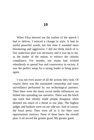10

When Elisa showed me the outline of the speech I had to deliver, I noticed a change in style. It had its useful powerful words, but this time it sounded more threatening and aggressive. I did not think much of it. Our audacious plan was necessary and it was up to me, as the leader of the nation, to enforce the citizens compliance. For months, our teams had worked relentlessly to spread fear and controversy in society. It was the perfect setup for a strong leader to bring peace again.

I was not even aware of all the actions they took. Of course, there was the automated censorship and mass surveillance performed by our technological partners. Then there were the many social media influencers we bribed into spreading our narrative. There was the black ops team that silently made people disappear when deemed too much of a threat to our plan. The highest judges and bankers were on our side too. And of course, the loyal press. They were all in it for their own opportunistic motives. None of them knew the overall plan. It all served the greater good. My greater good.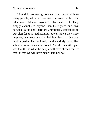I found it fascinating how we could work with so many people, while no one was concerned with moral dilemmas. "Mental myopia", Elisa called it. They simply cannot see beyond than their greed and own personal gains and therefore ambitiously contribute to our plan for total authoritarian power. Since they were helpless, we were actually helping them to live and work together harmoniously in the strictly controlled safe environment we envisioned. And the beautiful part was that this is what the people will have chosen for. Or that is what we will have made them believe.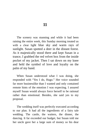$11$ 

The scenery was stunning and while it had been raining the entire week, this Sunday morning treated us with a clear light blue sky and warm rays of sunlight. Susan spotted a deer in the distant forest. As it majestically stood there and kept Susan in a trance, I grabbed the red velvet box from the inside pocket of my jacket. Then I sat down on my knee and held the symbol of love and loyalty on the palm of my hand.

When Susan understood what I was doing, she responded with "Yes I do, Hugo." Her voice sounded far more businesslike than I wanted and only contained remote hints of the emotion I was expecting. I assured myself Susan would always force herself to be rational rather than emotional. Besides, she said yes to my proposal.

The wedding itself was perfectly executed according to our plan. It had all the ingredients of a fairy tale wedding. The castle, the waiters, the dinner, the dancing. It far exceeded our budget, but Susan told me her uncle gave her a large sum of money so his dear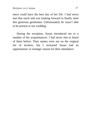niece could have the best day of her life. I had never met that uncle and was looking forward to finally meet this generous gentlemen. Unfortunately he wasn't able to be present at our wedding.

During the reception, Susan introduced me to a number of her acquaintances. I had never met or heard of them before. Their names were not on the original list of invitees, but I reckoned Susan had an opportunistic or strategic reason for their attendance.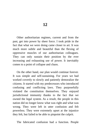Other authoritarian regimes, current and from the past, get into power by sheer force. I took pride in the fact that what we were doing came closer to art. It was much more subtle and beautiful than the flexing of oppressive muscles of our authoritarian colleagues. They can only sustain their position by the ever increasing and exhausting use of power. It inevitably comes to a point of collapse and chaos.

On the other hand, our plan would continue forever. It was simple and self-sustaining. For years we had worked covertly to slowly and patiently demoralize the citizens. It started with my predecessors who introduced confusing and conflicting laws. They purposefully violated the constitution themselves. They enjoyed jurisdictional immunity thanks to the fact that we owned the legal system. As a result, the people in this nation did no longer know what was right and what was wrong. They were left in utter confusion and felt powerless. They were extremely upset at the injustice they felt, but failed to be able to pinpoint the culprit.

The fabricated confusion had a function. People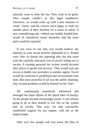naturally want to obey the law. They want to do good. They simply couldn't in this legal muddiness. Therefore, we would come up with a new measure to create 'clarity' and the citizens were happy to trade yet another piece of their freedom for a sense of safety. A new contradicting rule, without any solidly funded base, would be introduced surely thereafter and the same spiel would be repeated.

If you were on our side, you would endorse any measure as your social position depended on it. People were 'free' to choose any opposing side, but that came with the carefully obscured cost of slowly fading out in society. A cunning personal tax system would increase their prices of goods and services. They would only get access to health care providers in another region. Travel would be restricted to predefined and inconvenient time slots. But most powerful of all was the public shaming. Any societal problem would be blamed on the 'free'.

We continuously monitored, influenced and managed the finest details of the moral fiber of society. As the people became increasingly aware, it was always going to be in their benefit to live life on the system side of society. This way, we had structurally established support for our regime, with me as the lauded leader.

Only very few people will ever know the bliss of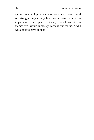getting everything done the way you want. And surprisingly, only a very few people were required to implement our plan. Others, unbeknownst to themselves, would tirelessly carry it out for us. And I was about to have all that.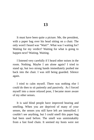It must have been quite a picture. Me, the president, with a paper bag over his head sitting on a chair. The only word I heard was "Wait!". What was I waiting for? Waiting for my verdict? Waiting for what is going to happen next? Waiting. Waiting.

I listened very carefully if I heard other noises in the room. Nothing. Maybe I am alone again? I tried to stand up, but two strong hands immediately pushed me back into the chair. I was still being guarded. Silence again.

I tried to calm myself. There was nothing else I could do then to sit patiently and passively. As I forced myself into a more relaxed pose, I became more aware of my other senses.

It is said blind people have improved hearing and smelling. When you are deprived of many of your senses, the senses you still have left are intensified. I couldn't see anything, but I could smell this paper bag had been used before. The smell was unmistakably from a fast food chain. It seemed my hosts were not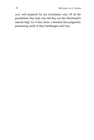very well prepared for my involuntary stay. Of all the possibilities they had, why did they use this McDonald's takeout bag? As if they knew I detested that poignantly penetrating smell of their hamburgers and fries.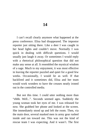I can't recall clearly anymore what happened at the press conference. Elisa had disappeared. The impostor reporter just sitting there. Like a deer I was caught in her head lights and couldn't move. Normally I was quick in dealing with difficult questions. I would usually just laugh it away. Or sometimes I would reply with a rhetorical philosophical question that did not make any sense at all. It resembled the mystical wisdom of a sage. Much to my enjoyment, it was most effective in leaving the reporter puzzled and quiet for a good few weeks. Occasionally, I would lie as well. If that backfired and it sometimes did, Elisa and her team would work wonders to have the creases neatly ironed out in the controlled media.

But not this time. I could utter nothing more than "ehhh. Well...". Seconds seemed ages. Suddenly the young woman took her eyes of me. I was released for now. She grabbed her phone and looked at the screen. She immediately stood up and left the room. Then, via the main door, several masked men in army gear rushed inside and ran toward me. This was not the kind of rescue team I was expecting. And it wasn't. The first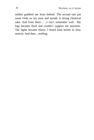soldier grabbed me from behind. The second one put some cloth on my nose and mouth. A strong chemical odor. And from there… ..I can't remember well. My legs became fluid and couldn't support me anymore. The lights became blurry. I heard faint noises in slow motion. And then... nothing.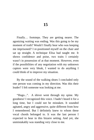Finally… footsteps. They are getting nearer. The agonizing waiting was ending. Was this going to be my moment of truth? Would I finally hear who was keeping me imprisoned? I re-positioned myself on the chair and sat up straight. A technique Elisa had taught me. It shows confidence and poise, two traits I certainly wasn't in possession of at that moment. However, even if the possibilities of any negotiation with my unknown captors were very bleak, I wanted to do anything I could think of to improve my situation.

By the sound of the walking shoes I concluded only one person was coming in my direction. Was this their leader? I felt someone was looking at me.

"Hugo...". A shiver went through my spine. My goodness! I recognized this voice. I hadn't heard it for a long time, but I could not be mistaken. It sounded agitated, angry and aggressive, quite different from how I remembered. But I definitely knew to whom these vocal chords belonged to. It was the last person I expected to hear in this bizarre setting. And yet, she unmistakably was standing very close to me.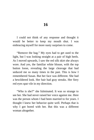I could not think of any response and thought it would be better to keep my mouth shut. I was embracing myself for more nasty surprises to come.

"Remove the bag." My eyes had to get used to the light, but I was looking straight at a pair of high heels. As I moved upwards, I saw the red silk skirt she always wore. And yes, the familiar white blouse, with the top button loose, revealing the large cleavage that had seduced me so many times in the past. This is how I remembered Susan. But her face was different. She had a bewildered look. Her hair had gray streaks. Her fiery red eyes spat vile in my direction.

"Who is she?" she fulminated. It was so strange to see her. She had never raised her voice against me. Here was the person whom I had been married to for years. I thought I knew her behavior quite well. Perhaps that is why I got bored with her. But this was a different woman altogether.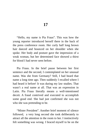"Hello, my name is Pia Fraus". This was how the young reporter introduced herself there in the back of the press conference room. Her curly half long brown hair danced and bounced on her shoulder when she spoke. Her body and posture gave the impression of a weak woman, but her determined face showed a thirst for blood I had never seen before.

Pia Fraus. In the brief pause between her first sentence and the second, I contemplated on her unusual name. Was she from Germany? Still, I had heard that name a long time ago. Then suddenly I recalled where I had heard it before! It was during my law studies. That wasn't a real name at all. That was an expression in Latin. Pia Fraus literally means a well-intentioned deceit. A fraud contrived and executed to accomplish some good end. She had just confirmed she was not who she was pretending to be.

"Mister President". Another brief moment of silence followed, a very long second she took deliberately to attract all the attention in the room to her. I instinctively felt something was wrong. I braced myself to be on the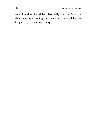receiving side of criticism. Normally I wouldn't worry about such questioning, but this time I knew I had to keep all my senses razor sharp.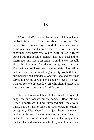"Who is she?" shouted Susan again. I immediately realized Susan had found out about my secret affair with Elisa. I was always afraid this moment would come one day, but I never expected it to be in these abnormal circumstances. Which wife in an already burned-out relationship kidnaps her own husband to interrogate him about an affair? Couldn't we just talk about this like adults? And the timing was so wrong. The nation must have been in utter state of rebellion and here was Susan prioritizing a futility. We both knew our marriage had stranded a long time ago and now just served to provide us with perks and privileges. This was a matter for two divorce lawyers who should arrive at a settlement. Any settlement. I didn't care.

I did not dare to look her into the eyes. I let my neck hang lose and focused on the concrete floor. "It was Elisa.", I confessed. I knew Susan had met Elisa several times, but they never talked to each other. In Susan's perception, Elisa should have just been someone I worked with, just like the others at the time. Clearly, I had not been careful enough recently. The preparation for the Plan had taken so much of my attention already.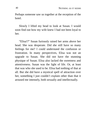Perhaps someone saw us together at the reception of the hotel.

Slowly I lifted my head to look at Susan. I would soon find out how my wife knew I had not been loyal to her.

"Elisa!?" Susan furiously raised her arms above her head. She was desperate. Did she still have so many feelings for me? I could understand the confusion or frustration. In many perspectives, Elisa was not an upgrade to Susan. She did not have the stunning physique of Susan. Elisa also lacked the sweetness and attentiveness. Susan was the light of life. Or, at least that was who she used to be. Elisa had nothing of that at all. But she did have a mystical spell of attraction over her, something I just couldn't explain other than that it aroused me intensely, both sexually and intellectually.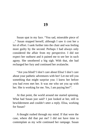Susan spat in my face. "You sad, miserable piece of ..." Susan stopped herself, although I saw it cost her a lot of effort. I sank further into the chair and was feeling more guilty by the second. Perhaps I had always only considered the affair from my perspective. I did not expect her outburst and it pained me to see her in such agony. She smothered a big sigh. With that, she had recharged her fury and continued her avalanche.

"Are you blind? I don't care about Elisa! I don't care about your pathetic adventures with her! Let me tell you something that might surprise you: I knew her before you had even met her. It was me who set you up with her. She is working for me. Yes, I am paying her!".

At that point, the world around me started spinning. What had Susan just said? I just looked at her, still in bewilderment and couldn't utter a reply. Elisa, working for Susan?

A thought rushed through my mind. If that were the case, where did that put me? I did not have time to contemplate as my wife continued her rampage. Susan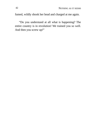fumed, wildly shook her head and charged at me again.

"Do you understand at all what is happening? The entire country is in revolution! We trained you so well. And then you screw up!"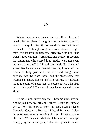When I was young, I never saw myself as a leader. I usually let the others in the group decide what to do and where to play. I diligently followed the instructions of the teachers. Although my grades were above average, they were far from impressive. I tried my best, but I just wasn't good enough. It frustrated me deeply. It seemed the classmates who scored high grades were not even putting in much effort. I found that unfair. For a while I spread lies by accusing them of cheating. I regarded my action as fully justifiable, as it would bring more equality into the class room, and therefore, raise my intellectual status. But no one believed me. It frustrated me to the point of anger. Yes, of course, it was a lie. But what if it wasn't? They would not have listened to me either.

It wasn't until university that I became interested in finding out how to influence others. I read the classic works from the experts from the past, such as Dale Carnegie, Gustav le Bon and Edward Bernays. I also became member of a debating club and followed some classes in Writing and Rhetoric. I became not only apt in applying the techniques, I also was quick to detect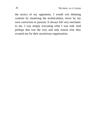the tactics of my opponents. I would win debating contests by mastering the technicalities, never by my own conviction or passion. It always felt very mechanic to me. I was simply executing what I was told. And perhaps that was the very and only reason why they scouted me for their mysterious organization.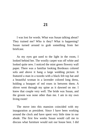I was lost for words. What was Susan talking about? They trained me? Who is they? What is happening? Susan turned around to grab something from her briefcase.

As my eyes got used to the light in the room, I looked behind her. The woolly carpet was off white and looked quite new. I noticed the mint green flowery wall paper. There was a familiar looking Bordeaux colored sofa and above it hang a large wedding picture. It featured a man in a tuxedo with a black felt top hat and a beautiful woman in a lavender colored long dress, holding a bouquet of red roses in between them. A shiver went through my spine as it dawned on me. I knew that couple very well. The bride was Susan, and the groom was none other than me. I am in my own living room!

The move into this mansion coincided with my inauguration as president. Since I have been working around the clock and have spent very little time in our abode. The first few weeks Susan would call me to discuss what furniture would suit our house best. I did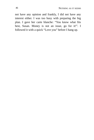not have any opinion and frankly, I did not have any interest either. I was too busy with preparing the big plan. I gave her carte blanche: "You know what fits best, Susan. Money is not an issue, go for it!". I followed it with a quick "Love you" before I hang up.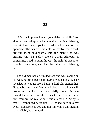"We are impressed with your debating skills." An elderly man had approached me after the final debating contest. I was very upset as I had just lost against my opponent. The winner was able to involve the crowd, drawing them passionately into the picture he was creating with his softly spoken words. Although it pained me, I had to admit he was the rightful person to have his named engraved into the university's debating cup.

The old man had a wrinkled face and was leaning on his walking cane, but his military styled short gray hair revealed he was far from being a frail old grandfather. He grabbed my hand firmly and shook it. As I was still processing my loss, the man briefly turned his face toward the winner and then back to me. "Never mind him. You are the real winner this afternoon." "Why is that?" I responded befuddled. He looked deep into my eyes. "Because it is you and not him who I am inviting to the Club", he grimaced.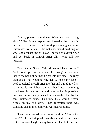"Susan, please calm down. What are you talking about?" She did not respond and looked at the papers in her hand. I realized I had to step up my game now. Susan was hysterical. I did not understand anything of what she accused me of. Now I needed to overrule her and get back in control. After all, I was still her husband.

"Stop it now Susan. Calm down and listen to me!" As I stood up from the chair, she swung her arm and lashed the back of her hand right into my face. The ruby diamond of her wedding ring had cut open my face. I tried to defend myself after the fact and pulled my fists to my head, one higher than the other. It was something I had seen boxers do. It could have looked impressive, but I was immediately pushed back into the chair by the same unknown hands. This time they would remain firmly on my shoulders. I had forgotten there was someone else in the room who was guarding me.

"I am going to ask you one more time. Who is Pia Fraus?". She had stepped towards me and her face was just a few nose lengths away from me. The last time our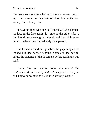lips were so close together was already several years ago. I felt a small warm stream of blood finding its way via my cheek to my chin.

"I have no idea who she is! Honestly!" She slapped me hard in the face again, this time on the other side. A few blood drops swung into the air and flew right onto her skirt where they immediately disappeared.

She turned around and grabbed the papers again. It looked like she needed reading glasses as she had to adjust the distance of the document before reading it out loud.

"Dear Pia, yes please come and attend the conference. If my security staff refuses you access, you can simply show them this e-mail. Sincerely, Hugo"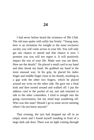I had never before heard the existence of  $The Club$ . The old man spoke with softly but firmly: "Young man, here is an invitation for tonight to the most exclusive society you will come across in your life. You will only get one chance to attend and that chance is now. I promise you you will not regret it. It will positively impact the rest of your life. Make sure you are there. Here are the details". He placed a small card in my hand and then shook my hand. He grabbed my hand in the most unusual way. In his grip, he placed his index finger and middle finger close to his thumb, resulting in a gap with the other two fingers, which he placed around my wrist on the other side. He gave me a final look and then turned around and walked off. I put the address card in the pocket of my suit and returned to talk to the other contenders. I tried to mingle into the going conversation, but my mind kept wandering off. Who was this man? Should I go to some secret meeting where I do not know anyone?

That evening, the taxi had dropped me off in an empty street and I found myself standing in front of a large dark oak door. There was no light coming through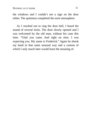the windows and I couldn't see a sign on the door either. The quietness completed the eerie atmosphere.

As I reached out to ring the door bell, I heard the sound of several locks. The door slowly opened and I was welcomed by the old man, without his cane this time. "Glad you came. And right on time. I was expecting you. My name is Frederick." Again he shook my hand in that same unusual way and a custom of which I only much later would learn the meaning of.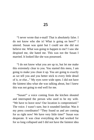"I never wrote that e-mail! That is absolutely false. I do not know who she is! What is going on here?" I uttered. Susan was quiet but I could see she did not believe me. What was going to happen to me? I saw she despised me, she hated me. This was not the Susan I married. It looked like she was possessed.

"I do not know what you are up to, but let me make this extremely clear to you. You started this mess, I am going to make you clean it up. You are going to exactly as we tell you and you better stick to every little detail of it, or else..." My eyes were wide open. I did not have the faintest idea what she was talking about, but I knew this was not going to end well for me.

"Susan!" a voice coming from the kitchen shouted and interrupted the person who used to be my wife. "We have to leave now! Our location is compromised." The voice. I wasn't sure, but it sounded familiar. Was it my press coordinator? "They found us and are coming for us right now! We have very little time!" Susan was desperate. It was clear everything she had worked for for so long collapsed and I did not have the faintest idea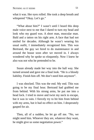what it was. Her eyes rolled. She took a deep breath and whispered "Okay. Let's go."

"What about him?" I wasn't until I heard this deep male voice next to me that I dared to turn my head and look who my guard was. A short man, muscular man. Bald and a tattoo on his right arm. A face that had not smiled for decades. Although he wasn't wearing his usual outfit, I immediately recognized him. This was Bertrand, the guy we hired to do maintenance in and around the house soon after we moved in. I always wondered why he spoke so eloquently. Now I knew he also was not who he pretended to be.

Susan already made her way into the hall way. She turned around and gave me a final look. "He is a bloody liability. Finish him off. We don't need him anymore".

I was shocked. This was the end. My end. This was going to be my final hour. Bertrand had grabbed me from behind. With his strong arms, he put me into a head lock. I tried to move and twist my neck to escape, but it was in vain. I fiercely try to hit him from behind with my arms, but it had no effect on him. I desperately gasped for air.

Then, all of a sudden, he let go off me. "No, we might need him. Whoever they are, whatever they want, he might give us some negotiation power."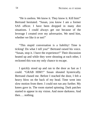"He is useless. We know it. They know it. Kill him!" Bertrand hesitated. "Susan, you know I am a former SAS officer. I have been dropped in many dire situations. I could always get out because of the leverage I created over my adversaries. We need him, whether we like it or not!"

"This stupid conversation is a liability! Time is ticking! Do what I tell you!" Bertrand raised his voice. "Susan, stop it. I have the experience!" Their discussion heated up and while they were shouting at each other, I reckoned this was my only chance to escape.

I quickly stood up and ran to the door as fast as I could. "GRAB HIM!!" Susan shouted hysterically. Bertrand chased me. Before I reached the door, I felt a heavy blow on the back of my head. Time went into slow motion from there. I could not run any further. My knees gave in. The room started spinning. Dark patches started to appear in my vision. And more darkness. And then…. nothing.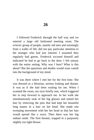I followed Frederick through the hall way and we entered a large old fashioned meeting room. The eclectic group of people, mainly old men and seemingly from a walks of life, did not pay particular attention to the stranger who had just entered. I assumed they regularly had guests. Frederick excused himself and indicated he had to go back to the door. I felt uneasy with the entire setting. Why was I here? What is this about? But the questions and doubts would soon vanish into the background of my mind.

It was there where I met her for the first time. She was dressed as a librarian, serious looking and distant. It was as if she had been waiting for me. When I scanned the room, our eyes briefly met, which triggered her to step forward to approach me. In her walk she simultaneously took of her big glasses and untied her hair by removing the pins that had kept her beautiful long manes in a bun on her head. She made one sweeping movement with her her head so that her hair would spread like a wave. Then there was her big radiant smile. The firm breasts, trapped in a purposely slightly too tight blouse.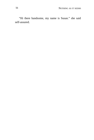"Hi there handsome, my name is Susan." she said self-assured.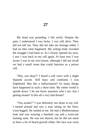My head was pounding. I felt awful. Despite the pain, I understood I was lucky. I was still alive. They did not kill me. They did not take me hostage either. I had no idea what happened. My aching body revealed the struggle I had been in. As I slowly opened my eyes, I saw I was back in my cell again. At least now I was aware I was in my own house, although I did not recall we had a small room that could function as a prison cell.

"Hey, you okay?" I heard a soft voice with a slight Spanish accent. Still hazy and confused, I was frightened. Was this a hallucination? So many things have happened in such a short time. My entire world is upside down. I do not know anymore who I am. Am I getting insane? Is this all a very bad dream?

"You awake?" I was definitely not alone in my cell. I turned around and saw a man sitting on the floor, crosslegged. He smiled at me. He had a Mediterranean look and was wearing a baseball cap and a worn-out training suite. He was not shaven, but he did not seem to have a lot of beard growth either. His face was worn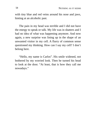with tiny blue and red veins around his nose and jaws, hinting at an alcoholic past.

The pain in my head was terrible and I did not have the energy to speak or talk. My life was in shatters and I had no idea of what was happening anymore. And now again, a new surprise was lining up in the shape of an unwanted visitor in my cell. A flurry of common sense questioned my thinking. How can I say my cell? I don't belong here.

"Hello, my name is Carlos". His smile widened, not bothered by my worried look. Then he turned his head to look at the door. "At least, that is how they call me nowadays."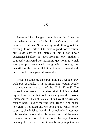Susan and I exchanged some pleasantries. I had no idea what to expect of this old men's club, but felt assured I could use Susan as my guide throughout the evening. It was difficult to have a good conversation, but Susan showed an interest in me I had never experienced before, not even from my own mother. I cautiously answered her intriguing questions, to which she promptly responded along with showing her beautiful smile. I felt as if I did not have to pretend with her. I could let my guard down a little.

Frederick suddenly appeared, holding a wooden tray with two cocktails. "It is so important young people like yourselves are part of the Club. Enjoy!" The cocktail was served in a glass skull holding a dark liquid. I smelled it, but could not recognize the flavors. Susan smiled: "Hey, it is okay. They have their own odd recipes here. Lovely meeting you, Hugo!" She raised her glass. I followed and we both drank. Much to my surprise, she finished her drink completely. I assumed this was the custom with this cocktail and did the same. It was a strange taste. I did not resemble any alcoholic beverage I ever tried. It must have been quite potent, as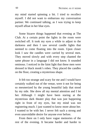my mind started spinning a bit. I tried to recollect myself. I did not want to embarrass my conversation partner. We continued talking, as I was trying to keep myself afloat in her blue eyes.

Some bizarre things happened that evening at The Club. At a certain point the lights in the room were switched off. It took my eyes a while to adjust to the darkness and then I saw several candle lights that seemed to come floating into the room. Upon closer look I saw the candles were carried by several men. They moved slowly and with every step chanted the same phrase in a language I did not know. It sounded ominous. I noticed in the faint light that these men were dressed in black monk's robes. They placed the candles on the floor, creating a mysterious shape.

It felt too strange and scary for me and I would have certainly walked out of the venue, were it not for being so mesmerized by the young beautiful lady that stood by my side. She drew all my mental attention and I let her. Although I might have been staring at the mysterious dark theater play that was just happening right in front of my eyes, but my mind was not registering much. I just wanted to know more about her. I wanted to be with her. I never felt such a strong and even unavoidable desire for anyone ever before.

From there on I only have vague memories of the rest of the evening. It became harder and harder to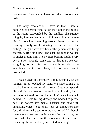concentrate. I somehow have lost the chronological order.

The only recollection I have is that I saw a hoodwinked person lying flat on the floor in the middle of the room, surrounded by the candles. The strange thing is, I remember him as if I were floating above him. I know I was standing next to Susan, but in my memory I only recall viewing the scene from the ceiling, straight above this body. The person was being sacrificed. He was dying. The chanting monks walked in circles around him. Their voices became louder every verse. I felt strongly connected to that man. He was struggling for his life, but apparently unable to do anything about it. From there, I do not recall how it proceeded.

I regain again my memory of that evening with the moment Susan touched my hand. We were sitting at a small table in the corner of the room. Susan whispered: "It is all fun and games. I know it is a bit weird, but is an important tradition for them. Don't seek too much behind it." I was feeling drowsy and nodded to please her. She noticed my mental absence and said with tantalizing voice: "You know, let's go somewhere else for a drink to really get to know each other?" Although there was no need to convince me, after she spoke, her lips made the most subtle movement towards me, indicating she was not only interested in talking.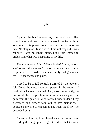I pulled the blanket over my sore head and rolled over in the bunk bed so my back would be facing him. Whomever this person was, I was not in the mood to talk. "Is okay man. Take a rest". I did not respond. I was relieved I was no longer alone, but I first wanted to understand what was happening in my life.

The conference. Elisa. Where is she? Susan, who is she? What did she mean? It was too much for my mind to process. This awful dream certainly had given me real life headaches and pains.

I used to be in full control. I thrived by the power I felt. Being the most important person in the country, I could do whatever I wanted. And, most importantly, no one would be in a position to harm me ever again. The pain from the past would be safely buried under all my successes and slowly fade out of my memories. I dedicated my life to executing The Plan, as if my life depended on it.

As an adolescent, I had found great encouragement in reading the biographies of great leaders, dictators and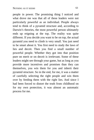people in power. The promising thing I noticed and what drove me was that all of these leaders were not particularly powerful as an individual. People always tend to think of a pyramid structure and, according to Darwin's theories, the most powerful person ultimately ends up reigning at the top. The reality was quite different. If you decide you want to be on top, the actual pyramid you need to climb is very small. You just need to be smart about it. You first need to study the laws of lies and deceit. Then you find a small number of powerful people. Whether they got into that position pure on merit or on deceit is irrelevant. Some of these leaders might see through your game, but as long as you provide more incentives and promises than they can themselves, you win them for you and inherit their pyramid structure. So in the end, for me, it was a matter of carefully selecting the right people and win them over by feeding them with the right lies. And since I had been forced to distort the truth from childhood on for my own protection, it was almost an automatic process for me.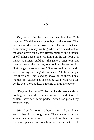Very soon after her proposal, we left The Club together. We did not say goodbye to the others. That was not needed, Susan assured me. The taxi, that was conveniently already waiting when we walked out of the door, drove for a short fifteen minutes and dropped us off at her house. She was living on the top floor of a luxury apartment building. She gave a brief tour and then led me to the balcony overlooking the entire city. "Let me get us some drinks". She excused herself and I was admiring the magnificent view. All these people live there and I am standing above all of them. For a moment my excitement of meeting Susan was replaced by the even more addictive feeling of ultimate power.

"Do you like merlot?" Her two hands were carefully holding a beautiful Saint-Émilion Grand Cru. It couldn't have been more perfect, Susan had picked my favorite wine.

We talked for hours and hours. It was like we knew each other for a long time. There were so many similarities between us. It felt unreal. We have been to the same places, but somehow we never met. I felt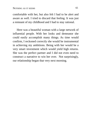comfortable with her, but also felt I had to be alert and aware as well. I tried to discard that feeling. It was just a remnant of my childhood and I had to stay rational.

Here was a beautiful woman with a large network of influential people. With her looks and demeanor she could easily accomplish many things. As time would confirm, I reckoned correctly she would be instrumental in achieving my ambitions. Being with her would be a very smart investment which would yield high returns. She was the perfect partner and I did not even need to construct a narrative to win her over. Not surprisingly, our relationship began that very next morning.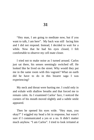"Hey man, I am going to meditate now, but if you want to talk, I am here". My back was still facing him and I did not respond. Instead, I decided to wait for a while. Now that he had his eyes closed, I felt comfortable to observe my cell mate closer.

I tried not to make noise as I turned around. Carlos just sat there, his senses seemingly switched off. He looked like he lived on the street. Why would they put me in the same room with this vagrant? What on earth did he have to do in this bizarre saga I was experiencing?

My neck and throat were hurting me. I could only in and exhale with shallow breaths and that forced me to remain calm. As I examined Carlos' face, I noticed the corners of his mouth moved slightly and a subtle smile appeared.

Then he opened his eyes wide. "Hey man, you okay?" I wiggled my head a bit in response, but wasn't sure if I communicated a yes or a no. It didn't matter much anyhow. "I am Carlos". I tried to look irritated at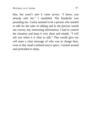him, but wasn't sure it came across. "I know, you already told me." I mumbled. The headache was pounding me. Carlos seemed to be a person who needed to talk for the sake of talking and in the process would not convey any interesting information. I had to control the situation and keep it very short and simple. "I will tell you when it is time to talk." This would give my cell mate a clear message of who was in charge here, even in this small confined micro space. I turned around and pretended to sleep.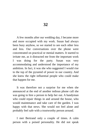A few months after our wedding day, I became more and more occupied with my work. Susan had always been busy anyhow, so we started to see each other less and less. Our conversations over the phone were concentrated on practical or menial matters. It started to irritate me, as it distracted me from the important work I was doing for the party. Susan was very accommodating and understood the importance of my ambition. In fact, it was she who suggested I would rise to the top of the pyramid of power in our country. And she knew the right influential people who could make that happen for me.

It was therefore not a surprise for me when she announced at the end of another tedious phone call she was going to hire a person to help her out. A handyman who could repair things in and around the house, who would maintenance and take care of the garden. I was happy with that news. She would not feel alone and probably feel safe with a trustworthy person around.

I met Bertrand only a couple of times. A calm person with a poised personality. He did not speak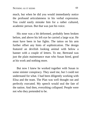much, but when he did you would immediately notice the profound articulateness in his verbal expression. You could easily mistake him for a rather cultured, academic person. But that was just his voice.

His nose was a bit deformed, probably been broken before, and above his left eye he carried a large scar. He must have been in bar fights. The tattoo on his arm further offset any hints of sophistication. The design featured an devilish looking animal with below a banner with a couple of letters. To me, Bertrand was just the plain maintenance man who Susan hired, good at his work and nothing more.

But now I knew he worked together with Susan in some sinister conspiracy. They used me, but I could not understand for what. I had been diligently working with Elisa and the team. The Plan was well thought out and perfectly executed. My speech would seal the fate of the nation. And then, everything collapsed. People were not who they pretended to be.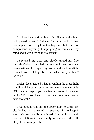I had no idea of time, but it felt like an entire hour had passed since I forbade Carlos to talk. I had contemplated on everything that happened but could not comprehend anything. I kept going in circles in my mind and it was driving me to despair.

I stretched my back and slowly turned my face towards Carlos. I recalled my lessons in psychological conversations, I scraped my voice and said in slight irritated voice "Okay. Tell me, why are you here? Briefly."

Carlos' face radiated. I had given him the green light to talk and he sure was going to take advantage of it. "Oh man, so happy you are feeling better. It is weird isn't it? The two of us. Here in this room. Who would have thought?"

I regretted giving him the opportunity to speak. He clearly had not registered I instructed him to keep it short. Carlos happily continued. He might as well continued talking if I had simply walked out of the cell. Only if that were possible.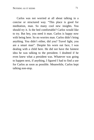Carlos was not worried at all about talking in a concise or structured way. "This place is good for meditation, man. So many cool new insights. You should try it. Is the bed comfortable? Carlos would like to try. But hey, you need it man. Carlos is happy now with being here. So no worries man. Carlos didn't bring anything. You didn't either, did you? Travel light, you are a smart man". Despite his worn out face, I was dealing with a child here. He did not have the faintest idea he was talking to the president. I doubted if he even knew what a president was. Whatever was going to happen next, if anything, I figured I had to find a use for Carlos as soon as possible. Meanwhile, Carlos kept talking non-stop.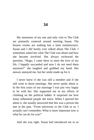My memories of my one and only visit to The Club are primarily centered around meeting Susan. The bizarre events are nothing but a faint reminiscence. Susan and I did barely ever talked about The Club. I sometimes asked her what The Club was about and how she became involved. She always eschewed the question. "Hugo, I came there to meet the love of my life. I happily succeeded and now I do not need them anymore!" she laughed and grabbed my hand. Her answer annoyed me, but her smile made up for it.

I never knew if she was still a member and if she still went to those meetings. She never spoke about it. In the first years of our marriage I was just very happy to be with her. She supported me in my efforts of climbing on the political ladder. It surprised me how many influential people she knew. When I queried her about it, she usually answered that this was a person she met in the past. "From university or the Club or so. I actually can't remember. What is more important now is what he can do for you!"

And she was right. Susan had introduced me to so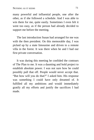many powerful and influential people, one after the other, as if she followed a schedule. And I was able to win them for me, quite easily. Sometimes I even felt it went too easy, as if the person had already decided to support me before the meeting.

The last introduction Susan had arranged for me was with the then president. On this memorable day, I was picked up by a state limousine and driven to a remote villa in the forest. It was there when he and I had our first private conversation.

It was during this meeting he confided the contours of The Plan to me. It was a daunting and bold project to establish absolute power. I was not sure how he could possibly pull that off. People would never accept that. "But how will you do that?" I asked him. His response was something I could have only dreamed of. It fulfilled all my ambitions and would immediately gratify all my efforts and justify the sacrifices I had made.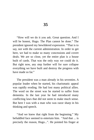"How will we do it you ask. Great question. And I will be honest, Hugo. The Plan cannot be done." The president ignored my bewildered expression. "That is to say, not with the current administration. In order to get here, we had to make so many concessions and covert deals. We are so close, yet the entire plan is a house built of cards. That was the only way we could do it. But right now, any step further will for sure collapse everything we have built and destroy the progress with have made so far."

The president was a man already in his seventies. A popular leader when he started, his charismatic appeal was rapidly eroding. He had lost many political allies. The word on the street was he started to suffer from dementia. In the last year he had introduced many conflicting laws that did not seem to make much sense. But here I was with a man who was razor sharp in his thinking and speech.

"And we knew that right from the beginning." My befuddled face seemed to entertain him. "And that ... is precisely the reason, Hugo...". He pointed his finger at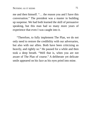me and then himself. "… the reason you and I have this conversation." The president was a master in building up suspense. We had both learned the skill of persuasive speaking, but this man had so many more years of experience that even I was caught into it.

"Therefore, to fully implement The Plan, we do not only need to restore the credibility with our adversaries, but also with our allies. Both have been criticizing us heavily, and rightly so." He paused for a while and then took a deep breath. "Well that is, when you are not aware of The Plan of course." A deliberate yet delicate smile appeared on his face as his eyes pried into mine.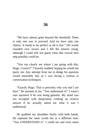"We have almost gone beyond the threshold. There is only one way to proceed. And we have only one chance. It needs to be perfect or all is lost." His words sounded very severe and I felt the tension rising, although I could still not guess what that crucial next step possibly could be.

"You can clearly see where I am going with this, Hugo. Correct?" I bravely nodded, hoping he would not query me. Any attempt from me to dodge his question would miserably fail, as I was facing a veteran in conversation techniques.

"Exactly Hugo. That is precisely why you and I are here." He pointed at me. "You understand it!" I wasn't sure anymore if he was being genuine. My mind was too occupied with desperately crafting an evasive answer if he actually asked me what it was I understood.

He grabbed my shoulders firmly with both hands. He repeated the same words but in a different tone. "You UNDERSTAND it". I could see and even sense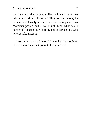the untamed vitality and radiant vibrancy of a man others deemed unfit for office. They were so wrong. He looked so intensely at me, I started feeling nauseous. Moments passed and I could not think what would happen if I disappointed him by not understanding what he was talking about.

"And that is why, Hugo..." I was instantly relieved of my stress. I was not going to be questioned.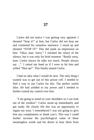Carlos did not notice I was getting very agitated. I shouted "Stop it!" at him, but Carlos did not hear me and continued his senseless utterance. I stood up and shouted "STOP IT!" This did made an impression on him. "Okay man. Sorry." I relished the return of the silence, but it was only for brief moment. "Really sorry, man. Carlos knows he talks too much. People always say ...". I raised my hand as if I were to hit him and yelled "Shut up!". This finally muted Carlos.

I had no idea what I would do next. The only thing I wanted was to get out of this prison cell. I needed to find a way to use Carlos for this. The perfect useful idiot. He had yielded to my power and I needed to further extend my control over him.

"I am going to stand on your shoulders so I can look out of the window". Carlos stood up immediately and got ready. He clearly felt this was an opportunity to regain my trust. I remembered I was not going to give him any compliments or thank you's. This way I could further increase the psychological value of these meaningless words and his desire to hear them from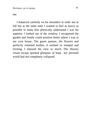me.

I balanced carefully on his shoulders in order not to fall but at the same time I wanted to feel as heavy as possible to make him physically understand I was his superior. I looked out of the window. I recognized the garden and finally could position better where I was in my own house. The green pasture, the flowers and perfectly trimmed bushes, it seemed so tranquil and inviting. I enjoyed the view so much. The illusory visual escape sparked glimpses of hope my personal world had not completely collapsed.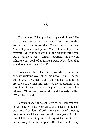"That is why..." The president repeated himself. He took a deep breath and continued: "We have decided you become the new president. You are the perfect man. You will gain so much power. You will be on top of the pyramid. All your hard work, all the arduous effort you put in all these years. Finally rewarded. Finally you achieve your goal of ultimate power. How does that sound to you, my dear Hugo?"

I was astonished. The most powerful man in the country wielding over all of his power to me. Indeed this is what I wanted. But I did not expect it to be presented to me like this. This was the opportunity of a life time. I was extremely happy, excited and also relieved. Of course I wanted this and I eagerly replied "Wow, that would be ...".

I stopped myself for a split second, as I remembered never to fully show your emotions. That is a sign of weakness. I couldn't afford to run the risk of showing how desperate I have been for all these years. All this time I felt like an impostor. All my tricks, my lies and deceit brought me to this point. But it was still a very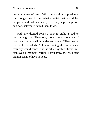unstable house of cards. With the position of president, I no longer had to lie. What a relief that would be. People would just bend and yield to my supreme power and do whatever I wanted them to do.

With my desired role so near in sight, I had to remain vigilant. Therefore, now more moderate, I continued with a slightly deeper voice: "That would indeed be wonderful." I was hoping the improvised maturity would cancel out the silly boyish enthusiasm I displayed a moment earlier. Fortunately, the president did not seem to have noticed.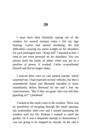I must have been blissfully staring out of the window for several minutes when I felt my legs shaking. Carlos had started trembling. He had difficulties carrying my entire weight on his shoulders for such prolonged time. "Keep still" I shouted at him. I tried to put extra pressure on his shoulders. You can always push the limits of others when you are in a position of power. It worked. Carlos re-positioned himself and did no longer shake.

I noticed there were no cars parked outside, which surprised me. I had expected several vehicles, but then I remembered Susan and Bertrand intended to leave immediately before Bertrand hit me and I lost my consciousness. "But if they are gone, who was still here guarding us?" I pondered.

I looked at the small crack in the window. There was no possibility of escaping through the small opening, but irrationality took over and I started slamming the window with my fist. Perhaps I wanted to smell the garden. Or it was a desperate attempt to demonstrate I was not going to be stopped by anyone. In the end it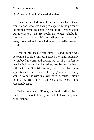didn't matter. I couldn't smash the glass.

I heard a muffled noise from under my feet. It was from Carlos, who was trying to cope with the pressure. He started trembling again. "Keep still!" I yelled again but it was too late. He could no longer uphold his shoulders and let go. My feet slipped away and as I sank, it seemed as if the window was propelled towards the sky.

I fell on my back. "You idiot!" I stood up and was determined to slap him. As I raised my hand, suddenly he grabbed my arm and twisted it. All of a sudden he was behind me and had locked my arm behind my back. Still with a Spanish accent, but now far more sophisticated Carlos said: "O my goodness. I really wanted to see it with my own eyes, because I didn't believe it. But now… oh yes, they were right. Absolutely right!"

Carlos continued: "Enough with this silly play. I think it is about time you and I have a proper conversation."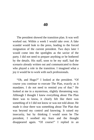The president showed the transition plan. It was well worked out. Within a week I would take over. A fake scandal would leak to the press, leading to the forced resignation of the current president. Two days later I would come into the spotlights as the savior of the party. I did not need to prepare anything or be bothered by the details. His staff, soon to be my staff, had the scenario already written out and communicated to those who played a role in the transition. I imagined what a joy it would be to work with such professionals.

"Oh, and Hugo?" I looked at the president. "Of course you continue to execute The Plan, exactly as it mandates. I do not need to remind you of that." He looked at me in a mysterious, slightly threatening way. Although I thought I knew everything about The Plan there was to know, it clearly felt like there was something of it I did not know or was not told about. He made it clear there was something about The Plan that was beyond my control and knowing. It raised my insecurity, but by thinking I would soon be The president, I soothed my fears and the thought disappeared again. "Of course!" I replied in an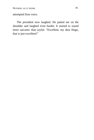attempted firm voice.

The president now laughed. He patted me on the shoulder and laughed even harder. It started to sound more sarcastic than joyful. "Excellent, my dear Hugo, that is just excellent!"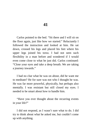Carlos pointed to the bed. "Sit there and I will sit on the floor again, just like how we started." Reluctantly I followed the instruction and looked at him. He sat down, crossed his legs and placed his feet where his upper legs joined his torso. I had not seen such flexibility in a man before and wondered if I would even come close to what he just did. Carlos continued: "Close your eyes and take a deep breath. We are taking a journey inwards."

I had no clue what he was on about, did he want me to meditate? He for sure was not who I thought he was. He was far more powerful, physically, but perhaps also mentally. I was resistant but still closed my eyes. I needed to be smart about how to handle him.

"Have you ever thought about the recurring events in your life?"

I did not respond, as I wasn't sure what to do. I did try to think about what he asked me, but couldn't come up with anything.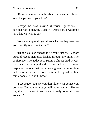"Have you ever thought about why certain things keep happening in your life?"

Perhaps he was asking rhetorical questions. I decided not to answer. Even if I wanted to, I wouldn't have known what to say.

"As an example, do you think what has happened to you recently is a coincidence?"

"Hugo? You can answer me if you want to." A short burst of recent memories flashed through my mind. The conference. The abduction. Susan. I almost died. It was too much to comprehend. I resorted to a trusted response, the one that had always given me more time and possibilities in a conversation. I replied with a fairly honest: "I don't know."

"I see Hugo. You say you don't know. Of course you do know. But you are not yet willing to admit it. Not to me, that is irrelevant. You are not ready to admit it to yourself."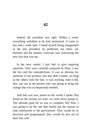Indeed, the president was right. Within a week, everything unfolded as he had mentioned. It went so fast and a week later I found myself being inaugurated as the new president. As predicted, our allies, our enemies and the masses, everyone was welcoming the new face that was me.

In the next weeks, I just had to give inspiring speeches. They were carefully prepared by Elisa. I saw the lies and the contradictions. It was so obvious for someone in my position, but that didn't matter. As long as the others took the bait, it was working. And it did, they saw me as the person who was going to bring the change that was so desperately needed.

And that was true, based on the words I spoke. But based on the actions we took, we were never going to. The ultimate goal for us was to complete The Plan. I was going to be the one that finally put the masses at total submission to the government. They would be so deceived and programmed, they would do this out of their free will.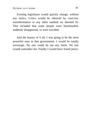Existing legislature would quickly change, without any notice. Critics would be silenced by coercion, misinformation or any other method we deemed fit. That included that some people were blackmailed, suddenly disappeared, or were suicided.

And the beauty of it all, I was going to be the most powerful man in that government. I would be totally sovereign. No one could do me any harm. No one would contradict me. Finally I would have found peace.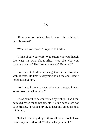"Have you not noticed that in your life, nothing is what is seems?"

"What do you mean?" I replied to Carlos.

"Think about your wife. Was Susan who you though she was? Or what about Elisa? Was she who you thought she was? The former president? Bertrand?"

I was silent. Carlos had caught me in an invisible web of truth. He knew everything about me and I knew nothing about him.

"And me, I am not even who you thought I was. What does that all tell you?"

It was painful to be confronted by reality. I had been betrayed by so many people. "It tells me people are not to be trusted." I replied, trying to keep my emotions to a minimum.

"Indeed. But why do you think all these people have come on your path of life? Why is that you think?"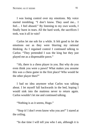I was losing control over my emotions. My voice started trembling. "I don't know. They used me... I feel… I feel abused." By listening to my own words, I finally burst in tears. All the hard work, the sacrifices I took, was it all in vain?

Carlos let me sob for a while. It felt good to let the emotions out as they were blurring my rational thinking. As I regained control I continued talking to Carlos: "They pretended I was the king but they just played me as a dispensable pawn."

"Ah, there is a chess player in you. But why do you even think you were a pawn? What makes you assume this was a chess game in the first place? Who would be the other player then?"

I had no idea anymore what Carlos was talking about. I let myself fall backwards in the bed, hoping I would sink into the mattress never to return again. Carlos wouldn't let me and continued talking.

"Nothing is as it seems, Hugo."

"Stop it! I don't even know who you are!" I stared at the ceiling.

"In due time I will tell you who I am, although it is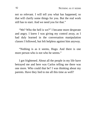not so relevant. I will tell you what has happened, so that will clarify some things for you. But the real work still has to start. And we need you for that."

"We? Who the hell is we?" I became more desperate and angry. I knew I was giving my control away, as I had duly learned in the conversation manipulation classes I followed, but felt helpless against him anyway.

"Nothing is as it seems, Hugo. And there is one more person who is not who he seems."

I got frightened. About all the people in my life have betrayed me and here was Carlos telling me there was one more. Who could that be? I was thinking about my parents. Have they lied to me all this time as well?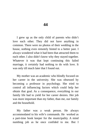I grew up as the only child of parents who didn't love each other. They did not have anything in common. There were no photos of their wedding in the house, nothing even remotely hinted to a better past. I always wondered what it had been that attracted them to each other. I also didn't know why they stayed together. Whatever it was that kept continuing this failed marriage, it certainly had nothing to do with love. It was only till much later that I found out.

My mother was an academic who blindly focused on her career in the university. She was obsessed by becoming a professor in psychology. She tried to control all influencing factors which could help her obtain that goal. As a consequence, everything in our family life had to yield for her career desires. Her job was more important than my father, than me, our family and the household.

My father was a weak person. He always accommodated to his wife's commands. He worked as a part-time book keeper for the municipality. A mind numbing job as he once confided to me. But I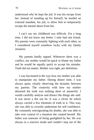understood why he kept the job. It was his escape from her. Instead of standing up for himself, he needed an external mandate, his job, to allow him to temporarily escape the mental abuse from her.

I can't say my childhood was difficult. For a long time, I did not know any better. I only had one friend. His parents were constantly fighting with each other, so I considered myself somehow lucky with my family situation.

My parents hardly argued. Whenever there was a conflict, my mother would be quick to blame my father and he would be equally quick to accept his mistake. Truth did not matter. Mother was right, per definition.

I was fascinated in the way how my mother was able to manipulate my father. During dinner time, I was always quiet, closely observing the dynamic between my parents. The creativity with how my mother distorted the truth was nothing short of masterful. I would carefully analyze and dissect the things she said. It was never a flat out lie. It was a clever lie which always carried a few elements of truth in it. This way, she was able to covertly undermine his self confidence. By constantly reinvigorating his doubts, she was able to take over control of a situation she created herself. My father was unaware of being gaslighted by her. He was always in a reactive mode and couldn't step out of the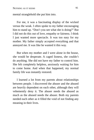mental stranglehold she put him into.

For me, it was a fascinating display of the wicked versus the weak. I often spoke to my father encouraging him to stand up. "Don't you see what she is doing?" But I did not do this out of love, empathy or fairness. I think I just wanted more spectacle. It was too easy for my mother. My father simply accepted everything and that annoyed me. It was like he wanted it this way.

But when my mother and I were alone in the house, she would be desperate. A caged lioness, she couldn't do anything. She did not have my father to control him. She felt completely helpless, anxiously waiting for him to come home. And when that happened, my normal family life was instantly restored.

I learned a lot from my parents about relationships between people. I discovered the abuser and the abused are heavily dependent on each other, although they will vehemently deny it. The abuser needs the abused as much as the abused needs the abuser. Both my parents needed each other as it filled the void of not finding any meaning in their lives.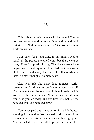"Think about it. Who is not who he seems? You do not need to answer right away. Give it time and let it just sink in. Nothing is as it seems." Carlos had a faint smile on his face.

I was quiet for a long time. In my mind I tried to recall all the people I worked with, but there were so many. Then I stopped thinking. The silence around me helped me to quiet my mind. I decided not to answer at all to Carlos and enjoy the bliss of stillness while it lasts. No more thoughts, no more fears.

After what felt like many long minutes, Carlos spoke again. "And that person, Hugo, is your very self. You have not met the real you. Although early in life, you were the same person. Now he is very different from who you are today. But this time, it is not he who betrayed you. You betrayed him."

"You never paid any attention to him, while he was shouting for attention. You wanted to disconnect from the real you. But this betrayal comes with a high price. You attracted these deceitful people in your life,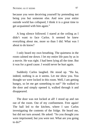because you were deceiving yourself by pretending not being you but someone else. And now your entire outside world has collapsed, I think it is a great time to get acquainted with him again."

A long silence followed. I stared at the ceiling as I didn't want to face Carlos. It seemed he knew everything about me, more so than I did. What was I about to do know?

I only heard my own breathing. The quietness in the room calmed me down. I let my entire life pass by as in a movie. He was right. I had been lying all the time. But it was for a good cause. I would never be hurt again.

Suddenly Carlos laughed. He stood up. "Ha ha, indeed, nothing is as it seems. Let me show you. You thought we were locked in this room. Well, I am getting hungry, so let me get something to eat!" He walked to the door and simply opened it, walked through it and disappeared.

The door was not locked at all! I stood up and ran out of the room. Out of my confinement. Free again! The hall led to the kitchen, where I saw Carlos investigating the contents of the fridge. He heard me, but did not turn around. He asked: "So you thought you were imprisoned, but you were not. What are you going to do?"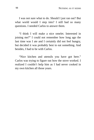I was not sure what to do. Should I just ran out? But what world would I step into? I still had so many questions. I needed Carlos to answer them.

"I think I will make a nice omelet. Interested in joining me?" I could not remember how long ago the last time was I ate and I certainly did not feel hungry, but decided it was probably best to eat something. And besides, I had to be with Carlos.

"Nice kitchen and utensils you have got here." Carlos was trying to figure out how the stove worked. I realized I couldn't help him as I had never cooked in my own kitchen all those years.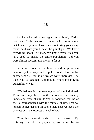As he whisked some eggs in a bowl, Carlos continued: "Who we are is irrelevant for the moment. But I can tell you we have been monitoring your every move. And with you I mean the plural you. We know everything about The Plan. We know every trick you have used to misled the entire population. And you were almost successful if it wasn't for us."

By now I realized nothing would surprise me anymore, yet the way Carlos spoke revealed I was in for another shock. "Yes, in a way, we were impressed. The Plan was so detailed. And that is where the biggest vulnerability was."

"We believe in the sovereignty of the individual. Then, and only then, can the individual intrinsically understand, void of any dogma or coercion, that he or she is interconnected with the miracle of life. That we human beings depend on each other. That we need the connection and closeness of each other."

"You had almost perfected the opposite. By instilling fear into the population, you were able to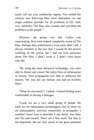easily roll out your totalitarian regime. You misled the citizens into believing they were dependent on one single solution provider for all problems in life. And, very skillfully, The Plan also created and provided the problems to the people."

Whoever the group was that Carlos was representing, they were indeed completely aware of The Plan. Perhaps they understood it even more than I did. I always relished in the fact that I would be the person wielding all the power, but I had my own questions about The Plan. I didn't write it. I didn't even know who did.

"By using the most advanced technology, you were able to distort and censor the entire flow of information in society. Your propaganda was able to influence the masses. Yet, you did not foresee you had an Achilles Heel."

"What do you mean?" I asked. I started feeling more comfortable in having a dialogue.

"Look, we are a very small group of people. By trade we are information technologists, but by heart we are philosophers, activists, researchers or renegades. I wouldn't know how to describe it any better. You have met Pia and myself. There are a few more, but that is not important. We are very aware of the great potential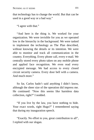that technology has to change the world. But that can be used in a good way or a bad way."

"I agree with that."

"And here is the thing is. We worked for your organization. We were invisible for you as we operated low in the hierarchy in the background. We were tasked to implement the technology as The Plan described, without knowing the details or its intention. We were able to monitor and track all communication in the country. Everything. Every phone call, every email. We centrally stored every photo taken on any mobile phone and applied face recognition. We even read every encrypted message. We had access to every closed circuit security camera. Every door bell with a camera. And much more."

So far, Carlos hadn't said anything I didn't know, although the sheer size of the operation did impress me. He continued: "Now this seems like harmless data collection, right?" I nodded.

"If you live by the law, you have nothing to hide. Your exact words, right Hugo?" I remembered saying that during my inauguration speech.

"Exactly. No effort to you, great contribution to all", I replied with our slogan.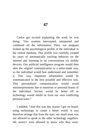Carlos got excited explaining the work he was doing. "Our systems intercepted, interpreted and combined all the information. Then, our program looked up the psychological profile of the individual in the central database. This profile was carefully curated by years of automatically tracking behavior on the internet and listening in on conversations via mobile devices. Our artificial intelligence program would then alter the original communication in a tailor-made way, so the individual would best understand and remember it. This way, important information would be communicated in the best possible and effective way. This personalized communication would avoid misinterpretations due to emotions or personal biases of the individual. Society would be better off as technology would shield us from our own conflicting personal traits."

I nodded. "And this was this reason I got on board: using technology to create a better world. It was therefore strange that from the start, our small team was not allowed to speak to the other technology suppliers. We weren't even allowed to know who they were.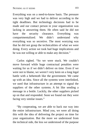Everything was on a need-to-know basis. The pressure was very high and we had to deliver according to the tight deadlines. But technology decisions had to be made and our contact person in your organization was lacking in answering them. He often said he did not have the security clearance. Everything was compartmentalized. We didn't understand why everything was so secretive. The most worrying was that he did not grasp the technicalities of what we were doing. Every action we took had huge implications and he was not willing or able to make any decision."

Carlos sighed. "So we were stuck. We couldn't move forward while huge contractual penalties were waiting for us if we didn't deliver on time. Even if we were not to blame, we weren't very keen on a long legal battle with a behemoth like the government. We came up with an idea. Since all the systems were interlinked, we used that infrastructure in an attempt to signal the suppliers of the other systems. A bit like sending a message in a bottle. Luckily, the other suppliers picked up on that and responded. Soon we found out they were facing very similar issues."

"By cooperating, we are able to hack our way into the entire infrastructure. Mind you, we were all doing this with the idea of delivering the project on time for your organization. But the more we understood from the technical side, the less we understood of the purpose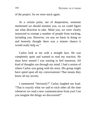of the project. So we were stuck again.

At a certain point, out of desperation, someone mentioned we should monitor you, so we could figure out what direction to take. Mind you, we were clearly instructed to exempt a number of people from tracking, including you. However, we saw no harm in doing so and honestly thought there was a remote chance it would really help us."

Carlos look at me with a straight face. He was completely quiet and wanted to read my reaction. He must have sensed I was starting to feel nauseous. All kind of thoughts ran through my mind. I had a notion of where Carlos was going with his story. His group might have spied upon all my conversations! That means they know all my secrets.

I stammered "Seriously?" Carlos laughed out loud. "That is exactly what we said to each other all the time whenever we read a new communication from you! Can you imagine the things we discovered?"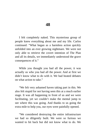I felt completely naked. This mysterious group of people knew everything about me and my life. Carlos continued: "What began as a harmless action quickly unfolded into an ever growing nightmare. We were not only able to retrieve the covert intention of The Plan and all its details, we immediately understood the grave consequences of it."

While you thought you had all the power, it was actually us who you had all the power. And at first we didn't know what to do with it. We had heated debates on what action to take."

"We felt very ashamed haven taking part in this. We also felt stupid for not having seen this at a much earlier stage. It was all happening in front of us and we were facilitating, yet we couldn't make the mental jump to see where this was going. And thanks to us going the extra mile to help you, our eyes were painfully opened.

"We considered destroying the entire infrastructure we had so diligently built. We were so furious we wanted to hit back but did not know what to do. We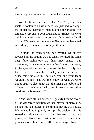needed a powerful method to undo the damage.

And to the rescue came… The Plan. Yes, The Plan itself. It contained all we needed. We just had to change the audience. Instead of manipulating the masses, we targeted everyone in your organization. Hence, we were quickly able to create an entirely artificial reality for all of you. We made you believe the Plan was implemented accordingly. The reality was very different.

To undo the dangers you had created, we quietly reversed all the actions we had taken. We used the same deep fake technology that had impersonated your opponents, but we used it on you. Yes Hugo, as a result, in the eyes of the people, you are the hero! Only few know that it is only the virtual you that is the hero. Since this was also in The Plan, you and your team wouldn't notice. That was the beauty of what we were doing. But we also knew that the image the public had of you is not who you really are. So we were forced to continue the false reality."

"And, with all this power, we quickly became aware of the dangerous position we had moved ourselves in. None of us had interest in continuing having this power. We noticed how it quickly corrupts the wielders of it. It started to influence us too. Now that we had all this power, we also felt responsible for what to do next. Our primary motivation was to diffuse your danger. Now we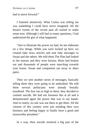had to move forward."

I listened attentively. What Carlos was telling me was something I could have never imagined. All the bizarre events of the recent past all started to make sense now. Although I still had so many questions, I had understood the gist of what happened.

"Just to illustrate the power we had, let me elaborate on a few things. While you were locked up here, we created fake news articles and sent fake messages to Susan and the others. We told them The Plan had leaked to the masses and they were furious. Riots had broken out and thousands of people were marching towards your house. Susan and companion ran away in sheer panic.

Then we sent another series of messages, basically telling them they were going to be ambushed. We told them several politicians were already brutally murdered. The fear ran so high in them, they decided to commit suicide. We had not foreseen this at all and it demonstrated again the power that was in our hands. And in reality, no one was out there to get them. All the citizens of this country were just minding their own business and feeling happy to finally have a good and trustworthy president."

In a way, their suicide resolved a big part of the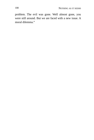problem. The evil was gone. Well almost gone, you were still around. But we are faced with a new issue. A moral dilemma."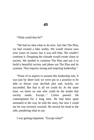"What could that be?"

"We had no idea what to do next. Just like The Plan, we had created a fake reality. We would choose ours over yours of course, but it was still fake. We couldn't continue it. Dropping the charade would create chaos in society. We needed to continue The Plan and use it to build a beautiful society and phase out The Plan and its systems. That requires strong and inspiring leadership."

"None of us aspires to assume this leadership role. It was just by sheer luck we were put in a position to be able to thwart your devilish plot and, luckily, we succeeded. But that is all we could do. At the same time, we knew no one who could be the leader that society needs. Except..." Carlos paused. He contemplated for a long time. He had been quite animated in the way he told the story, but now I could see he was severely worried. He moved his head to the side, pondering what to say.

I was getting impatient. "Except what?"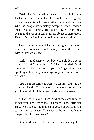"Well, then it dawned on us we actually did know a leader. It is a person that the people love. A great, honest, inspirational, trustworthy individual. A man who the people immediately accept as their leader." Again Carlos paused. He looked away from me, scanning the room in search for an object to stare upon. He wasn't comfortable continuing the conversation.

I tried being a patient listener and gave him some time, but he remained quiet. Finally I broke the silence with "Okay, who is it?"

Carlos sighed deeply. "Oh boy, you still don't get it do you Hugo? You really don't!" I was puzzled. "And the irony is that the reason you don't get it is both speaking in favor of you and against you. I am in severe doubts."

"But I am desperate as well. We all are. And it is up to me to decide. That is why I volunteered to be with you in the cell. I might regret my decision for eternity.

"That leader is you, Hugo. And at the same time, it is not you. The leader that is needed is the artificial Hugo we created. And that is not you. But we want you to become that leader. You need to become the Hugo the people think they have."

"Our work needs to be undone, which is a huge task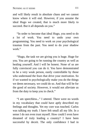and will likely result in absolute chaos and we cannot know where it will end. However, if you assume the ideal Hugo we created, that is much more likely to succeed. But it all depends on you."

"In order to become that ideal Hugo, you need to do a lot of work. You need to undo your own programming. You need to work on your psychological traumas from the past. You need to do your shadow work."

"Hugo, the task we are giving you is huge. Huge for you. You are going to be running the country as well as healing yourself. And I will be honest. None of us are fully convinced you can do it. You have demonstrated to be a very weak person, easily controllable by those who understand the fears that drive your motivation. So if we wanted to psychologically make you do the things we deem necessary, we could do so. And that will be for the good of society. However, it would not alleviate us from the duty to keep you in check."

"I am speechless..." I uttered. There were no words in my vocabulary that could have aptly described my feelings and thoughts. Yet my core was touched. Carlos was talking my truth. I have felt small all my life. In a sense I do not even trust myself. How could I even have dreamed of truly leading a country? I have been successful by deceit. The only confidence I had in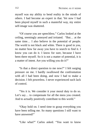myself was my ability to bend reality in the minds of others. I had become an expert in that. Yet now I had been played myself in such a masterful way, my entire self-image was shattered.

"Of course you are speechless." Carlos looked at the ceiling, seemingly annoyed and irritated. "But… at the same time… I also believe in the potential of people. The world is not black and white. There is good in you, no matter how far away you have to search to find it. I know you can do it. I know for sure, because I have been there myself. So it is not a matter of potential, it is a matter of intent. Are you willing you do it?"

"Is that a direct question to me now?" I felt surging pressure on me. I hardly swallowed the confrontation with all I had been doing, and now I had to make a decision. I felt powerless. I never experienced such lack of control.

"Yes it is. We consider it your moral duty to do so. Let's say… to compensate for all the mess you created. And to actually positively contribute to this world."

"Okay hold on. I need time to grasp everything you have been telling me. So many questions I still want to have answered!"

"Like what?" Carlos asked. "You want to know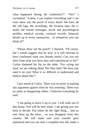what happened during the conference?". "Yes!" I exclaimed. "Listen, I can explain everything and I can even show you the proof of every detail. We have all the call logs, the recordings, the location data, the emails, the instant messages, social and psychological profiles, medical records, criminal records, financial details up to every transaction... of whomever you can think of!"

"Please show me the proof!" I shouted. "Of course, but I would suggest that by now, is it still relevant to have confirmed what you already know? Can you not infer from what you have seen and experienced so far?" Carlos slammed his fist on the table. "For crying out loud, we are talking about The Plan here! We have just used it on you! What is so difficult to understand and believe about this?"

I just stared at Carlos. There was no point in making any argument against what he was asserting. There was no point in disagreeing either, I believed everything he said.

"I am going to leave it up to you. I will walk out of this house. You will be here alone. I am giving you one hour to decide. You either do the right thing… join us and clean up the mess… or you disappear from this country. We will make sure your transfer goes unnoticed and you can start a complete new life under a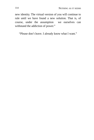new identity. The virtual version of you will continue to rule until we have found a new solution. That is, of course, under the assumption we ourselves can withstand the addiction of power."

"Please don't leave. I already know what I want."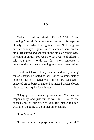Carlos looked surprised. "Really? Well, I am listening." he said in a condescending way. Perhaps he already sensed what I was going to say. "Let me go to another country." Again, Carlos slammed hard on the table. He cursed and shouted in the air, as if others were listening in on us. "Too weak! What a waste of effort! I told you guys!" With that last short sentence, I understood others were listening in on our conversation.

I could not have felt any smaller and was yearning for an escape. I wanted to ask Carlos to immediately help me, but felt I better wait till his fury subsided. I expected an outburst of anger, but instead Carlos closed his eyes. It was quiet for minutes.

"Okay, you have made up your mind. You take no responsibility and just run away. Fine. That is the consequence of our offer to you. But please tell me, what are you going to do in that other country?"

"I don't know."

"I mean, what is the purpose of the rest of your life?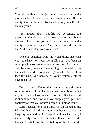You will be living a lie, just as you have done for the past decades. A new lie, a new environment. But in reality it is the same lie. Never allowing yourself to be the real you."

"You already know your life will be empty. You possess all the tricks to make it seem like success, but at the end of our life, you will be confronted with the reality. It was all theater. And for whom did you do that? Who benefited from your lies?"

"No one benefited. And the worst thing, not even you. You have not lived life at all. You have been an actor playing someone who you are not! And only… only because you are too weak, Hugo! Too weak to do the shadow work. Too weak to go inside. Too weak to face the pain. And because of your weakness, others have to suffer."

"Yet, the real Hugo, the one who is ultimately superior to any virtual Hugo we can create, is still alive in you. You just have to search for him. But that effort is already too much for you. You simply give up. Quite contrary to what you wanted people to think of you."

Carlos paused for a long time. He just looked at me. I looked back. I did not know whether to reply or to keep my mouth shut. As I was doubting what to do, I inadvertently choose for the latter. It was quiet in the kitchen. I only heard the soft ticking of the clock in the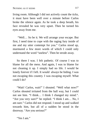living room. Although I did not actively count the ticks, it must have been well over a minute before Carlos broke the silence again. As he took a deep breath, his face revealed he was very upset. Then he turned his eyes away from me.

"Well… So be it. We will arrange your escape. But first, I need time to cope with the raging fury inside of me and my utter contempt for you." Carlos stood up, murmured a few more words of which I could only understand the word "useless". Then he strode away.

So there I was. I felt pathetic. Of course I was to blame for all the mess. And again, I was to blame for not cleaning it up. I simply had no life. I would be lonely forever if I left. It would always be hiding. I was not escaping this country. I was escaping myself. What could I do?

"Wait! Carlos, wait!" I shouted. "Well what now?" Carlos shouted irritated from the hall way, but I could not see him. "I think… I think I changed my mind.". "Are you very sure?" he replied. "I think I am… No, I am sure." Carlos did not respond. I stood up and walked towards him, but all of a sudden he stood in the doorway. "Are you serious?"

"Yes I am."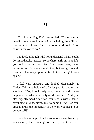"Thank you, Hugo!" Carlos smiled. "Thank you on behalf of everyone in the nation, including the millions that don't even know. There is a lot of work to do. A lot of work for you to do."

I nodded, although I did not understand what I could do immediately. "Listen, somewhere early in your life, you took a wrong turn. And from there, many other wrong turns. You cannot undo that, but going forward, there are also many opportunities to take the right turns again."

I feel very insecure and looked desperately at Carlos: "Will you help me?". Carlos put his hand on my shoulder. "Yes, I could help you, I even would like to help you, but what you really need is a coach. And, you also urgently need a mentor. You need a wise elder. A psychologist. A therapist. Just to name a few. Can you already grasp the immensity of the work you need to do on yourself?"

I was losing hope. I had always run away from my weaknesses, but listening to Carlos, the task itself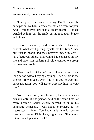seemed simply too much to handle.

"I see your confidence is fading. Don't despair. In anticipation, we have already assembled a team for you. And, I might even say, it is a dream team!" I looked puzzled at him, but the smile on his face grew bigger and bigger.

It was tremendously hard to not be able to have any control. What was I getting myself into this time? I had put trust in people and they betrayed me. Similarly, I have betrayed others. Everything has collapsed in my life and here I am rendering absolute control to a group of unknown people.

"How can I trust them?" Carlos looked at me for a long period without saying anything. Then he broke the silence. "If you can't even find it in you to trust this particular team, you will never trust anything in your life!"

"And, to confuse you a bit more, the team consists actually only of one person. And at the same time, of many people." Carlos clearly seemed to enjoy his enigmatic demeanor. I was about to protest, but he interrupted in time: "You know, it is time for you to meet your team. Right here, right now. Give me a minute to setup a video call."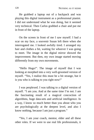He grabbed a laptop out of a backpack and was playing this digital instrument as a professional pianist. I did not understand what he was doing, but it seemed very technical. Then Carlos grabbed a chair and put me in front of the laptop.

On the screen in front of me I saw myself. I had a scar on my face, a souvenir Susan left there when she interrogated me. I looked awfully tired. I arranged my hair and clothes a bit, waiting for whoever I was going to meet. The image in the digital mirror showed the improvement. But then, my own image started moving differently from my own movements.

"Hello Hugo!". The image of myself that I was looking at morphed into a very well-groomed version of myself. "Yes, I realize this must be a bit strange, but it is you who is talking to you right now!"

I was perplexed. I was talking to a digital version of myself. "I am you. And at the same time I'm not. I am the fascinating result of a magical concoction of algorithms, huge data-sets and artificial intelligence. In a way, I know so much better than you about who you are psychologically at the deepest level, and also I know nothing, because I am just a program."

"Yes, I am your coach, mentor, elder and all these other roles. If we were to use real life professionals, it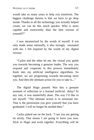would take us many years to help you transform. The biggest challenge therein is that we have to go deep inside. Thanks to all the technology you actually helped create, we can do this much quicker. Who is more capable and trustworthy than the best version of yourself?"

I was mesmerized by the words of myself. It not only made sense rationally, it also strongly resonated with me. I felt inspired by the words of my digital version.

"Carlos and the other let me, the virtual you, guide you towards becoming a genuine leader. The way you respond and cooperate in this process immediately feeds into my artificial intelligence algorithms. So together, we are progressing towards becoming more you. And then the ultimate action for you to take is..."

The digital Hugo paused. Was this a genuine moment of reflection or a learned artificial delay? At any rate, it was masterfully done. The way I'd like to see myself. "The ultimate action is to terminate me. That is the permission you give yourself that you have graduated. I will no longer be needed then."

Carlos patted me on the back. "I see you are getting on nicely. That means I am going to leave you now. Stick to Hugo and work together. Everything will be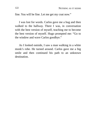fine. You will be fine. Let me get my coat now."

I was lost for words. Carlos gave me a hug and then walked to the hallway. There I was, in conversation with the best version of myself, teaching me to become the best version of myself. Hugo prompted me: "Go to the window and wave Carlos goodbye."

As I looked outside, I saw a man walking in a white monk's robe. He turned around. Carlos gave me a big smile and then continued his path to an unknown destination.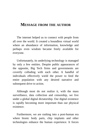## **MESSAGE FROM THE AUTHOR**

The internet helped us to connect with people from all over the world. It created a boundless virtual world where an abundance of information, knowledge and perhaps even wisdom became freely available for everyone.

Unfortunately, its underlying technology is managed by only a few entities. Despite public appearances of the opposite, Big Tech firms and governments are covertly colluding with each other. A handful of individuals effectively wield the power to feed the entire population with any desired narrative and subsequent drive to action.

Although most do not realize it, with the mass surveillance, data collection and censorship, we live under a global digital dictatorship. Our digital existence is rapidly becoming more important than our physical existence.

Furthermore, we are rushing into a post-human era where bionic body parts, chip implants and other technologies enhance the human experience. It forces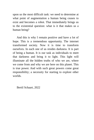upon us the most difficult task: we need to determine at what point of augmentation a human being ceases to exist and becomes a robot. That immediately brings us to the existential question: what is it that makes us a human being?

And this is why I remain positive and have a lot of hope. This is a tremendous opportunity. The internet transformed society. Now it is time to transform ourselves. In each one of us resides darkness. It is part of being a human. It is our task as individuals to meet that darkness and bring it to light. This light will illuminate all the hidden truths of who we are, where we come from and why we are here on this planet. This is true power. And with such great powers come great responsibility; a necessity for starting to explore other worlds.

Bertil Schaart, 2022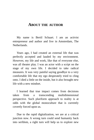## **ABOUT THE AUTHOR**

My name is Bertil Schaart. I am an activist entrepreneur and author and live in Amsterdam, The Netherlands.

Years ago, I had created an external life that was perfectly accepted and lauded by my environment. However, my life and work, like that of everyone else, was all theater play. I was an actor with a script on the stage of my own life. I decided to take radical measures. It was very painful saying goodbye to a very comfortable life that my ego desperately tried to cling onto. I died a little on the inside, but it also brought new life with a new mindset.

I learned that true impact comes from decisions taken from a transcending multidimensional perspective. Such pluriform approach to reality is at odds with the global monoculture that is currently covertly forced upon us.

Due to the rapid digitalization, we are at a critical junction now. A wrong turn could send humanity back into serfdom, a right turn will help us to explore new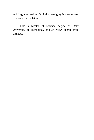and forgotten realms. Digital sovereignty is a necessary first step for the latter.

I hold a Master of Science degree of Delft University of Technology and an MBA degree from INSEAD.